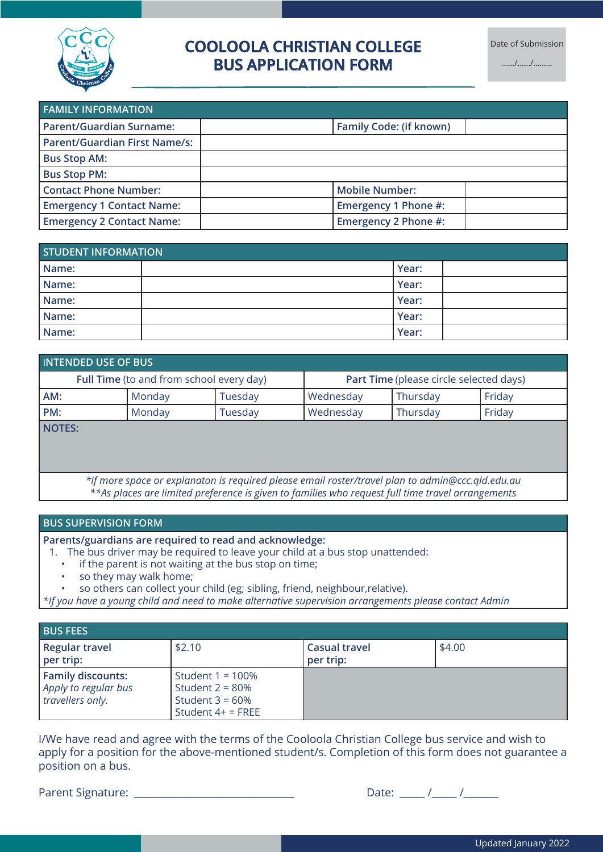

# **COOLOOLA CHRISTIAN COLLEGE BUS APPLICATION FORM**

..…./….../………

| <b>FAMILY INFORMATION</b>            |                                |  |
|--------------------------------------|--------------------------------|--|
| <b>Parent/Guardian Surname:</b>      | <b>Family Code: (if known)</b> |  |
| <b>Parent/Guardian First Name/s:</b> |                                |  |
| <b>Bus Stop AM:</b>                  |                                |  |
| <b>Bus Stop PM:</b>                  |                                |  |
| <b>Contact Phone Number:</b>         | <b>Mobile Number:</b>          |  |
| <b>Emergency 1 Contact Name:</b>     | Emergency 1 Phone #:           |  |
| <b>Emergency 2 Contact Name:</b>     | Emergency 2 Phone #:           |  |

| <b>STUDENT INFORMATION</b> |  |       |  |  |
|----------------------------|--|-------|--|--|
| Name:                      |  | Year: |  |  |
| Name:                      |  | Year: |  |  |
| Name:                      |  | Year: |  |  |
| Name:                      |  | Year: |  |  |
| Name:                      |  | Year: |  |  |

| INTENDED USE OF BUS                      |        |                                         |           |          |        |
|------------------------------------------|--------|-----------------------------------------|-----------|----------|--------|
| Full Time (to and from school every day) |        | Part Time (please circle selected days) |           |          |        |
| AM:                                      | Monday | Tuesday                                 | Wednesday | Thursday | Friday |
| PM:                                      | Monday | Tuesday                                 | Wednesday | Thursday | Friday |
| NOTES:                                   |        |                                         |           |          |        |
|                                          |        |                                         |           |          |        |
|                                          |        |                                         |           |          |        |

*\*If more space or explanaton is required please email roster/travel plan to admin@ccc.qld.edu.au \*\*As places are limited preference is given to families who request full time travel arrangements*

#### **BUS SUPERVISION FORM**

**Parents/guardians are required to read and acknowledge:**

- 1. The bus driver may be required to leave your child at a bus stop unattended:
	- if the parent is not waiting at the bus stop on time;
	- so they may walk home;
	- so others can collect your child (eg; sibling, friend, neighbour,relative).

*\*If you have a young child and need to make alternative supervision arrangements please contact Admin*

| <b>BUS FEES</b>                                                      |                                                                                        |                                   |        |
|----------------------------------------------------------------------|----------------------------------------------------------------------------------------|-----------------------------------|--------|
| Regular travel<br>per trip:                                          | \$2.10                                                                                 | <b>Casual travel</b><br>per trip: | \$4.00 |
| <b>Family discounts:</b><br>Apply to regular bus<br>travellers only. | Student $1 = 100\%$<br>Student $2 = 80\%$<br>Student $3 = 60\%$<br>Student $4+$ = FREE |                                   |        |

I/We have read and agree with the terms of the Cooloola Christian College bus service and wish to apply for a position for the above-mentioned student/s. Completion of this form does not guarantee a position on a bus.

Parent Signature: \_\_\_\_\_\_\_\_\_\_\_\_\_\_\_\_\_\_\_\_\_\_\_\_\_\_\_\_\_\_\_\_ Date: \_\_\_\_\_ /\_\_\_\_\_ /\_\_\_\_\_\_\_

| $T^{\alpha}$<br>$J \cap I$ |  |  |
|----------------------------|--|--|
|                            |  |  |